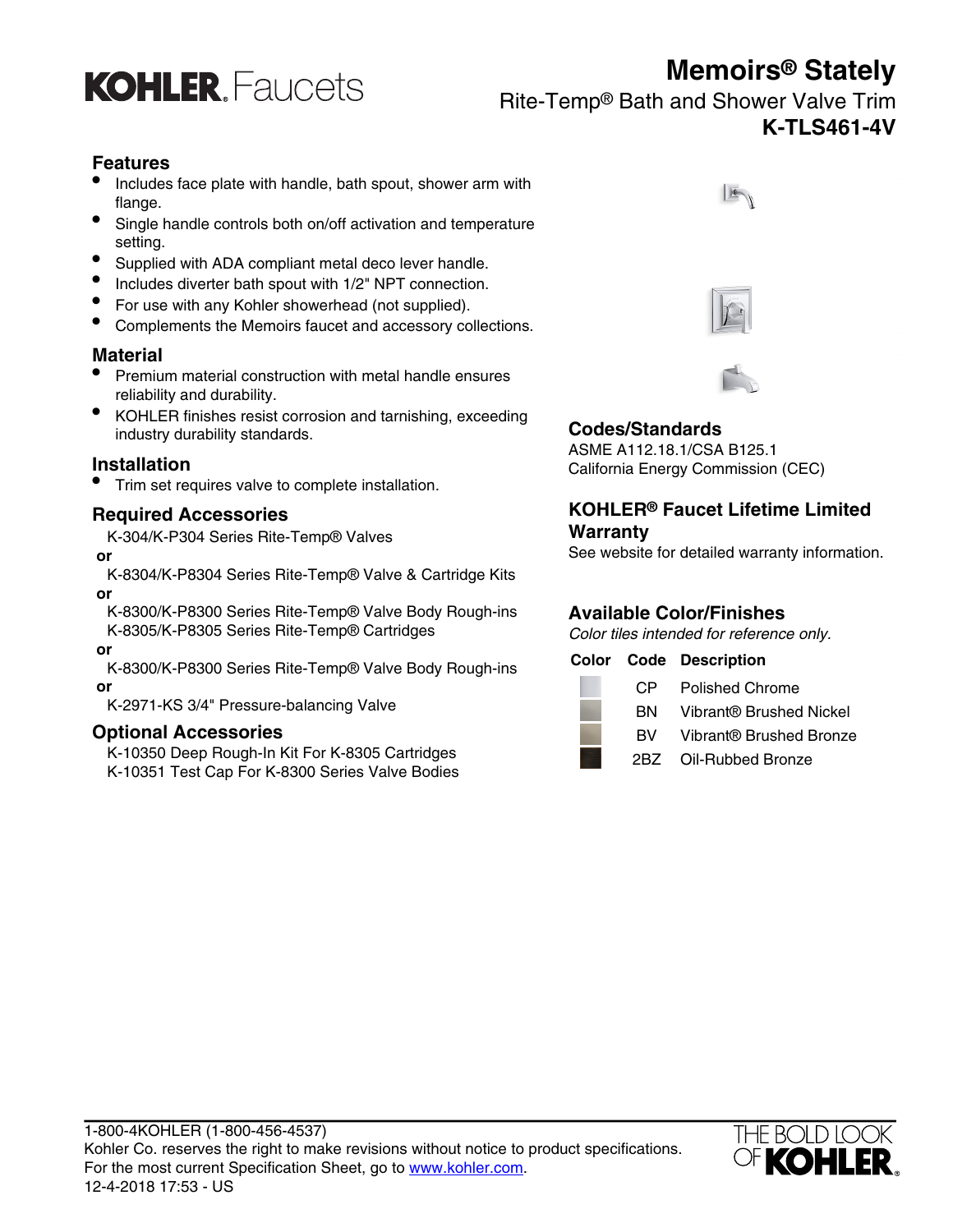

**KOHLER** Faucets

Rite-Temp® Bath and Shower Valve Trim **K-TLS461-4V**

### **Features**

- Includes face plate with handle, bath spout, shower arm with flange.
- Single handle controls both on/off activation and temperature setting.
- Supplied with ADA compliant metal deco lever handle.
- Includes diverter bath spout with 1/2" NPT connection.
- For use with any Kohler showerhead (not supplied).
- Complements the Memoirs faucet and accessory collections.

### **Material**

- Premium material construction with metal handle ensures reliability and durability.
- KOHLER finishes resist corrosion and tarnishing, exceeding industry durability standards. **Codes/Standards**

• Trim set requires valve to complete installation.

### **Required Accessories**

K-304/K-P304 Series Rite-Temp® Valves

K-8304/K-P8304 Series Rite-Temp® Valve & Cartridge Kits  **or**

K-8300/K-P8300 Series Rite-Temp® Valve Body Rough-ins K-8305/K-P8305 Series Rite-Temp® Cartridges Color tiles intended for reference only.

### **or**

K-8300/K-P8300 Series Rite-Temp® Valve Body Rough-ins **Color Code Description or** CP Polished Chrome

K-2971-KS 3/4" Pressure-balancing Valve

### **Optional Accessories**

K-10350 Deep Rough-In Kit For K-8305 Cartridges K-10351 Test Cap For K-8300 Series Valve Bodies







ASME A112.18.1/CSA B125.1 **Installation**<br>
California Energy Commission (CEC)

### **KOHLER® Faucet Lifetime Limited Warranty**

See website for detailed warranty information. **or**

### **Available Color/Finishes**

| CP. | <b>Polished Chrome</b>  |
|-----|-------------------------|
| BN. | Vibrant® Brushed Nickel |
| RV. | Vibrant® Brushed Bronze |
|     | $ODZ = QH Db$           |

2BZ Oil-Rubbed Bronze